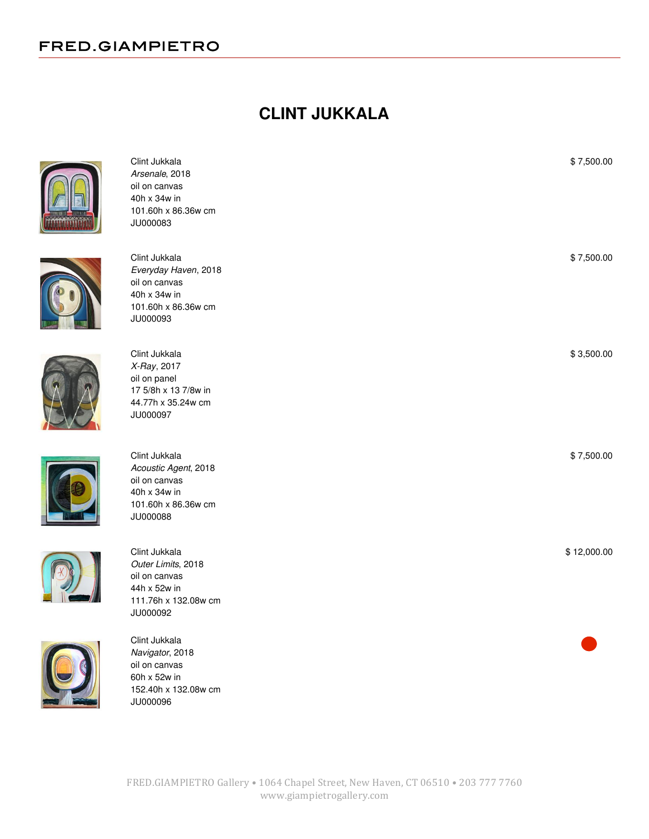# **CLINT JUKKALA**



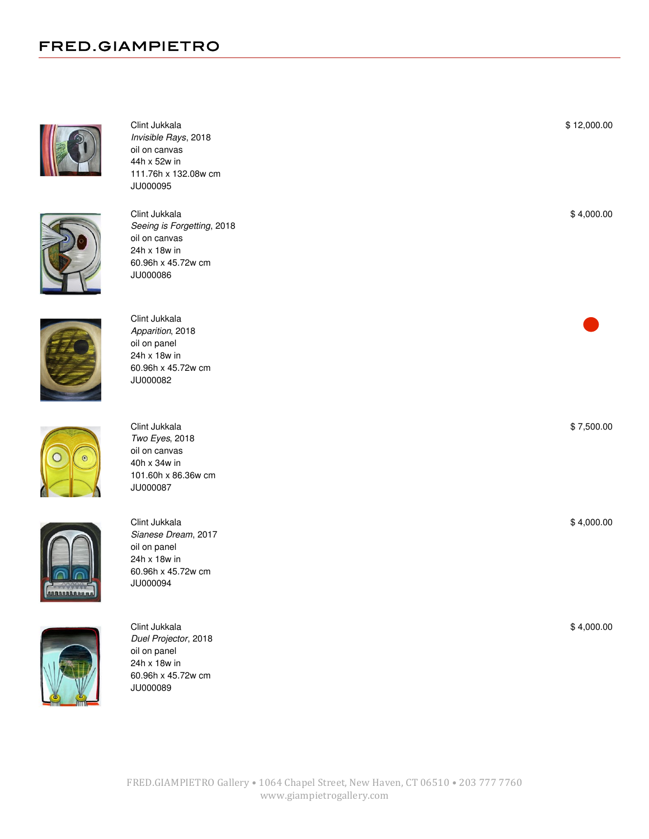











Clint Jukkala *Duel Projector*, 2018 oil on panel 24h x 18w in 60.96h x 45.72w cm JU000089

Clint Jukkala *Invisible Rays*, 2018 oil on canvas 44h x 52w in 111.76h x 132.08w cm JU000095

Clint Jukkala *Seeing is Forgetting*, 2018 oil on canvas 24h x 18w in 60.96h x 45.72w cm JU000086

Clint Jukkala *Apparition*, 2018 oil on panel 24h x 18w in 60.96h x 45.72w cm JU000082

Clint Jukkala *Two Eyes*, 2018 oil on canvas 40h x 34w in 101.60h x 86.36w cm JU000087

 $\bullet$ 

\$ 12,000.00

\$ 4,000.00

\$ 7,500.00

\$ 4,000.00

\$ 4,000.00

FRED.GIAMPIETRO Gallery • 1064 Chapel Street, New Haven, CT 06510 • 203 777 7760 www.giampietrogallery.com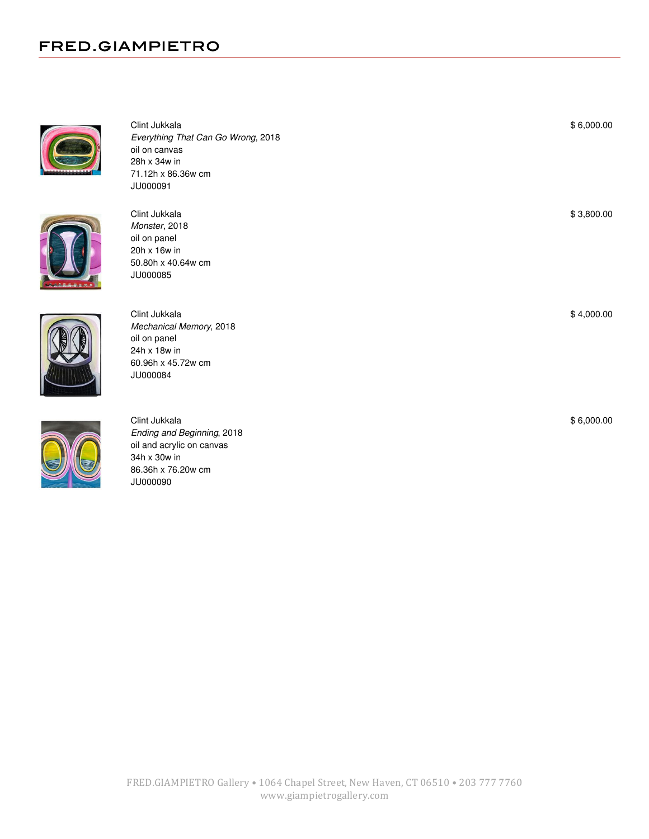

Clint Jukkala *Everything That Can Go Wrong*, 2018 oil on canvas 28h x 34w in 71.12h x 86.36w cm JU000091



Clint Jukkala *Monster*, 2018 oil on panel 20h x 16w in 50.80h x 40.64w cm JU000085



Clint Jukkala *Mechanical Memory*, 2018 oil on panel 24h x 18w in 60.96h x 45.72w cm JU000084



Clint Jukkala *Ending and Beginning*, 2018 oil and acrylic on canvas 34h x 30w in 86.36h x 76.20w cm JU000090

\$ 4,000.00

\$ 6,000.00

\$ 3,800.00

\$ 6,000.00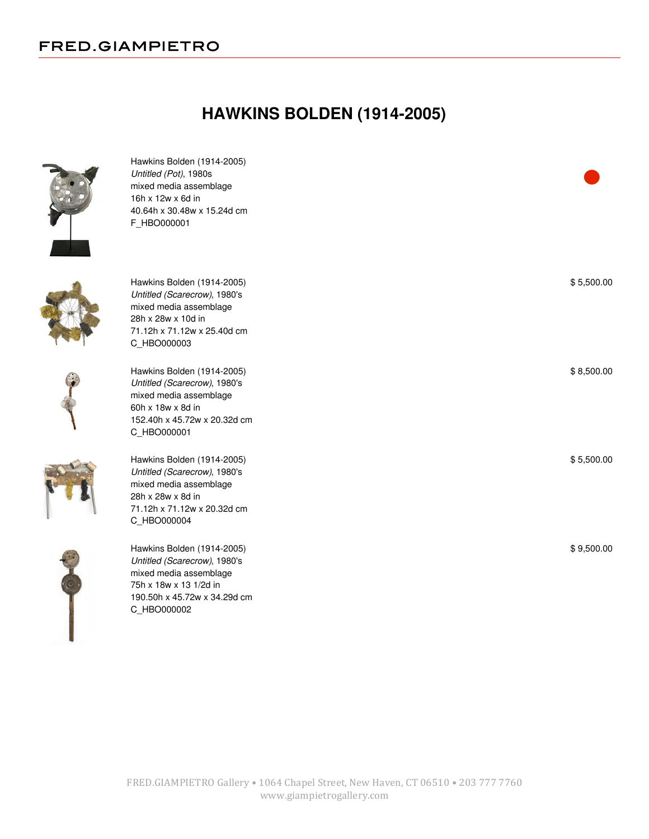Hawkins Bolden (1914-2005) *Untitled (Pot)*, 1980s mixed media assemblage 16h x 12w x 6d in

40.64h x 30.48w x 15.24d cm

F\_HBO000001

## **HAWKINS BOLDEN (1914-2005)**



| Hawkins Bolden (1914-2005)<br>Untitled (Scarecrow), 1980's<br>mixed media assemblage | \$5,500.00 |
|--------------------------------------------------------------------------------------|------------|
| 28h x 28w x 10d in                                                                   |            |
| 71.12h x 71.12w x 25.40d cm                                                          |            |
| C HBO000003                                                                          |            |
| Hawkins Bolden (1914-2005)                                                           | \$8,500.00 |
| Untitled (Scarecrow), 1980's                                                         |            |
| mixed media assemblage                                                               |            |
| 60h x 18w x 8d in                                                                    |            |
| 152.40h x 45.72w x 20.32d cm                                                         |            |
| C HBO000001                                                                          |            |
| Hawkins Bolden (1914-2005)                                                           | \$5,500.00 |
| Untitled (Scarecrow), 1980's                                                         |            |
| mixed media assemblage                                                               |            |
| 28h x 28w x 8d in                                                                    |            |
| 71.12h x 71.12w x 20.32d cm                                                          |            |
| C HBO000004                                                                          |            |
| Hawkins Bolden (1914-2005)                                                           | \$9,500.00 |









Hawkins Bolden (1914-2005) *Untitled (Scarecrow)*, 1980's mixed media assemblage 75h x 18w x 13 1/2d in 190.50h x 45.72w x 34.29d cm C\_HBO000002